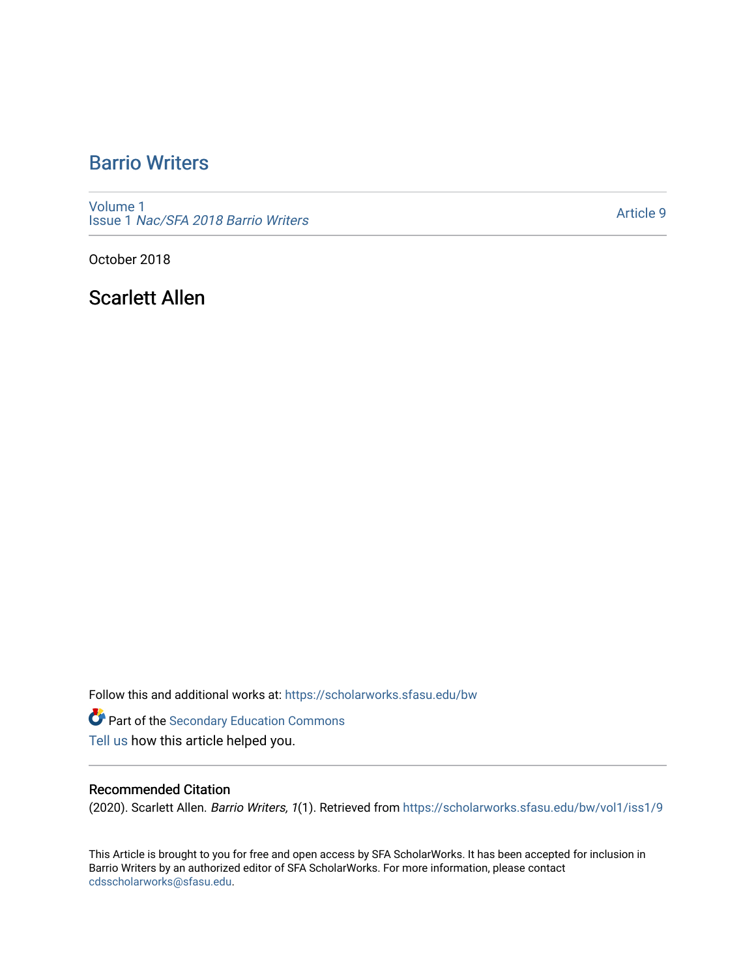# [Barrio Writers](https://scholarworks.sfasu.edu/bw)

[Volume 1](https://scholarworks.sfasu.edu/bw/vol1) Issue 1 [Nac/SFA 2018 Barrio Writers](https://scholarworks.sfasu.edu/bw/vol1/iss1) 

[Article 9](https://scholarworks.sfasu.edu/bw/vol1/iss1/9) 

October 2018

Scarlett Allen

Follow this and additional works at: [https://scholarworks.sfasu.edu/bw](https://scholarworks.sfasu.edu/bw?utm_source=scholarworks.sfasu.edu%2Fbw%2Fvol1%2Fiss1%2F9&utm_medium=PDF&utm_campaign=PDFCoverPages) 

Part of the [Secondary Education Commons](http://network.bepress.com/hgg/discipline/1382?utm_source=scholarworks.sfasu.edu%2Fbw%2Fvol1%2Fiss1%2F9&utm_medium=PDF&utm_campaign=PDFCoverPages)  [Tell us](http://sfasu.qualtrics.com/SE/?SID=SV_0qS6tdXftDLradv) how this article helped you.

## Recommended Citation

(2020). Scarlett Allen. Barrio Writers, 1(1). Retrieved from [https://scholarworks.sfasu.edu/bw/vol1/iss1/9](https://scholarworks.sfasu.edu/bw/vol1/iss1/9?utm_source=scholarworks.sfasu.edu%2Fbw%2Fvol1%2Fiss1%2F9&utm_medium=PDF&utm_campaign=PDFCoverPages)

This Article is brought to you for free and open access by SFA ScholarWorks. It has been accepted for inclusion in Barrio Writers by an authorized editor of SFA ScholarWorks. For more information, please contact [cdsscholarworks@sfasu.edu.](mailto:cdsscholarworks@sfasu.edu)